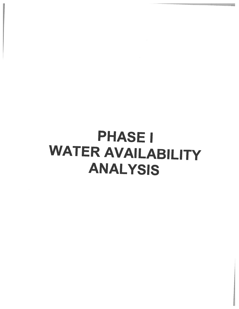## **PHASE I WATER AVAILABILITY ANALYSIS**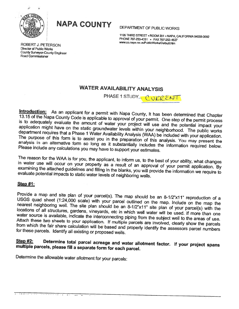

<sup>N</sup>APA COUNTY DEPARTMENT OF PUBLIC WORKS

1195 THIRD STREET • ROOM 201 • NAPA, CALIFORNIA 94559-3092<br>PHONE 707-253-4351 • FAX 707-253-4627<br>www.co.napa.ca.us/PublicWorks/Default.htm

ROBERT J. PETERSON Director of Public Works County Surveyor-County Engineer Road Commissioner

### WATER AVAILABILITY ANALYSIS

PHASE 1 STUDY \_ CURRENT

Introduction: As an applicant for a permit with Napa County, It has been determined that Chapter 13.15 of the Napa County Code is applicable to approval of your permit. One step of the permit process is to adequately evalu analysis The purpose of this form is to assist you in the preparation of this analysis. You may present the Please In an alternative form so long as it substantially includes the information required below.<br>include any calculations you may have to support your estimates.

The reason for the WAA is for you, the applicant, to inform us, to the best of your ability, what changes in water use will occur on your property as <sup>a</sup> result of an approval of your permit application. By evaluate potential impacts to static water levels of neighboring wells. examining the attached guidelines and filling in the blanks, you will provide the information we require to

### Step #1:

USGS quad sheet (1:24,000 scale) with your parcel outlined on the map. Include on the map the Provide a map and site plan of your parcel(s). The map should be an 8-1/2"x11" reproduction of a nearest quad sheet (1:24,000 scale) with your parcel outlined on the map. Include on the map the neighboring well. The site plan should be an 8-1/2"x11" site plan of your parcel(s) with the locations of all structures, gardens, vineyards, etc in which well water will be used. If more than one<br>water source is available, indicate the interconnecting pinite of with the used. If more than one water source is available, indicate the interconnecting piping from the subject well to the areas of use.<br>Attach these two sheets to your application. If multiple parcels are involved, clearly show the parcels from which the fair share calculation will be based and properly identify the assessors parcel numbers for these parcels. Identify all existing or proposed wells.

### multiple parcels, please fill a separate form for each parcel. Step #2: Determine total parcel acreage and water allotment factor. If your project spans

Determine the allowable water allotment for your parcels:

<u>тт</u>

 $\label{eq:4} \alpha = -\alpha + \alpha = 1, \quad \alpha = 1, \ldots, \ldots$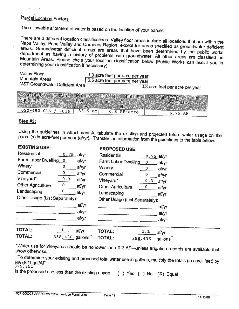### **Parcel Location Factors**

The allowable allotment of water is based on the location of your parcel.

There are 3 different location classifications. Valley floor areas include all locations that are within the Naps Valley, There are 3 different location classifications. Valley floor areas include all locations that are within the<br>Napa Valley, Pope Valley and Carneros Region, except for areas specified as groundwater deficient<br>areas. Groundwa Mountain Areas. Please circle your location classification below (Public Works can assist you in<br>determining your classification if necessary): department as having <sup>a</sup> history of problems with groundwater. All other areas are classified as determining your classification if necessary):

| Valley Floor<br>1.0 acre feet per acre per year<br><b>Mountain Areas</b><br>0.5 acre feet per acre per year<br>MST Groundwater Deficient Area      | 0.3 acre feet per acre per year |
|----------------------------------------------------------------------------------------------------------------------------------------------------|---------------------------------|
| <b>ASSESSORS</b><br>Parcel Parcel Rearcel Location Movable Water Allotment<br>Number(S)<br>Size<br>Facio<br>$020 - 450 - 015$<br>$33.5 \text{ ac}$ |                                 |
| $-016$<br>$0.5$ AF/acre                                                                                                                            | 16.75 AF                        |

### Step #3:

parcel(s) in acre-feet per year (af/yr). Transfer the information from the guidelines to the table below. Using the guidelines in Attachment A, tabulate the existing and projected future water usage on the

### EXISTING USE:

| <b>Residential</b>             | 0.75 | af/vr |
|--------------------------------|------|-------|
| Farm Labor Dwelling            | 0    | af/yr |
| Winery                         | 0    | af/yr |
| Commercial                     | ο    | af/yr |
| Vineyard*                      | 0.3  | af/yr |
| <b>Other Agriculture</b>       | 0    | af/yr |
| Landscaping                    | 0    | af/yr |
| Other Usage (List Separately): |      |       |
|                                |      | af/yr |
|                                |      | af/yr |
|                                |      | af/vr |
|                                |      |       |

### PROPOSED USE:

| Residential                    |     | <u>0.75 af/yr</u> |
|--------------------------------|-----|-------------------|
| Farm Labor Dwelling            | 0   | af/yr             |
| Winery                         | υ   | af/yr             |
| Commercial                     | O   | af/yr             |
| Vineyard*                      | 0.3 | af/yr             |
| <b>Other Agriculture</b>       | Ω   | af/yr             |
| Landscaping                    |     | af/yr             |
| Other Usage (List Separately): |     |                   |
|                                |     | af/yr             |
|                                |     | af/yr             |
|                                |     | af/vr             |
|                                |     |                   |

| TOTAL: | $\frac{1.1}{\frac{1}{2}}$ af/yr | <b>TOTAL:</b> | <u>__1 . 1 __</u> af/yr |  |
|--------|---------------------------------|---------------|-------------------------|--|
| TOTAL: | $358,436$ gallons TOTAL:        |               | 358,436 gallons"        |  |

\*Water use for vineyards should be no lower than 0.2 AF—unless irrigation records are available that show otherwise.

\*\*To determine your existing and proposed total water use in gallons, multiply the totals (in acre- feet) by<br><del>325,821</del> gal/AF.<br>325, 851 325,824 gal/AF.

Is the proposed use less than the existing usage  $( )$  Yes  $( )$  No  $( X )$  Equal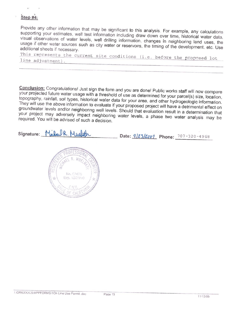### Step #4:

Provide any other information that may be significant to this analysis. For example, any calculations visual supporting your estimates, well test information including draw down over time, historical water data. usage visual observations of water levels, well drilling information, changes in neighboring land uses, the usage if other water sources such as city water or reservoirs, the timing of the development, etc. Use additional sheets

This represents the current site conditions (i.e. before the proposed lot<br>line adjustment).

your Conclusion: Congratulations! Just sign the form and you are done! Public works staff will now compare<br>your projected future water usage with a threshold of use as determined for your parcel(s) size, location,<br>jonography, r They will use the above information to evaluate if your proposed project will have a detrimental effect on topography, raphy, rainfall, soil types, historical water data for your area, and other hydrogeologic information.<br>Will use the above information to evolugie if your near and other hydrogeologic information groundwater levels and/or neighboring well levels. Should that evaluation result in a determination that your project may adversely impact neighboring water levels, a phase two water analysis may be<br>required. You will be advised of such a decision.

Signature: Mulau R. Mulath

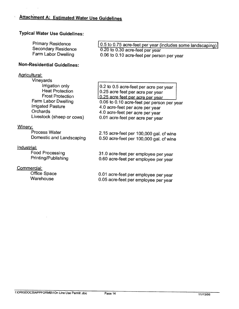### Typical Water Use Guidelines:

| <b>Primary Residence</b>   | 0.5 to 0.75 acre-feet per year (includes some landscaping) |
|----------------------------|------------------------------------------------------------|
| <b>Secondary Residence</b> | 0.20 to 0.30 acre-feet per year                            |
| Farm Labor Dwelling        | 0.06 to 0.10 acre-feet per person per year                 |

### Non-Residential Guidelines:

### Agricultural:

| <b>Vineyards</b>                                                                                                                           |                                                                                                                                                                                                                                    |
|--------------------------------------------------------------------------------------------------------------------------------------------|------------------------------------------------------------------------------------------------------------------------------------------------------------------------------------------------------------------------------------|
| Irrigation only<br><b>Heat Protection</b><br><b>Frost Protection</b><br>Farm Labor Dwelling<br><b>Irrigated Pasture</b><br><b>Orchards</b> | 0.2 to 0.5 acre-feet per acre per year<br>0.25 acre feet per acre per year<br>0.25 acre feet per acre per year<br>0.06 to 0.10 acre-feet per person per year<br>4.0 acre-feet per acre per year<br>4.0 acre-feet per acre per year |
| Livestock (sheep or cows)                                                                                                                  | 0.01 acre-feet per acre per year                                                                                                                                                                                                   |

### Winery:

### Industrial:

### Commercial:

Process Water 2.15 acre-feet per 100,000 gal. of wine Domestic and Landscaping 0.50 acre-feet per 100,000 gal. of wine

Food Processing 31.0 acre-feet per employee per year Printing/Publishing 0.60 acre-feet per employee per year

Office Space 0.01 acre-feet per employee per year<br>Warehouse 0.05 acre-feet per employee per year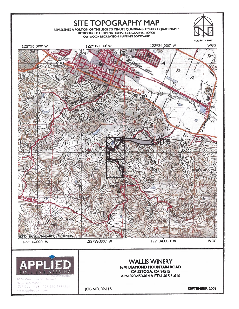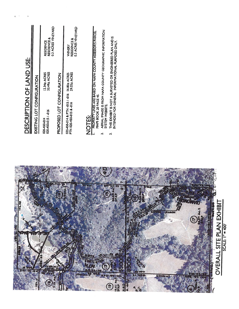|        |  | 4.9 | EXHIBI<br>$\zeta$<br><b>SSH</b>     |
|--------|--|-----|-------------------------------------|
| o<br>o |  |     | B<br>Δ.<br>ш<br>ਘੂ<br>ਕ<br>ທ<br>ပ္တ |
|        |  |     | ⋜<br>OVER                           |
|        |  | וכנ |                                     |

# **DESCRIPTION OF LAND USE:** DESCRIPTION OF LAND USE:

 $\langle \cdot | \cdot \rangle$  $\hat{\mathbf{t}}$ 

 $\eta$ 

# EXISTING LOT CONFIGURATION **ZOI-YADULZOU LOT UNILSIXT**

| <b>AESIDENCE &amp;</b><br><b>RESIDENCE</b><br>33.49± ACRES<br>12.34± ACRES | <b>J.3 ACRES VINEYARD</b>  |
|----------------------------------------------------------------------------|----------------------------|
| 020-450-015/-016<br>020-450-014                                            | PROPOSED LOT CONFIGURATION |

| <b>VINERY</b>                                                                     | <b>RESIDENCE &amp;</b> | 0.3 ACRES VINEYARD |
|-----------------------------------------------------------------------------------|------------------------|--------------------|
|                                                                                   |                        |                    |
| 020-450-014 & PTN -015 / -016 16.80± ACRES<br>PTN 020-450-015 & -016 29.03± ACRES | PTN 020-450-015 & -016 |                    |

# NOTES:

- **PROPERTY LINES ARE BASED ON NAPA COUNTY ASSESSOR'S PARCEL<br>MAPS BOOK 20 PAGE 45.** I. PROPERTY LINES ARE BASED ON NAPA COUNTY ASSESSORS PARCEL MAPS BOOK 20 PAGE 45.  $\overline{a}$ 
	- AERIAL IMAGE IS FROM NAPA COUNTY GEOGRAPHIC INFORMATION<br>SYSTEM WEBSITE. 2. AERIAL IMAGE IS FROM NAPA COUNTY GEOGRAPHIC INFORMATION SYSTEM WEBSITE.  $\vec{r}$ 
		- THIS EXHIBIT IS NOT A SURVEYED OR ENGINEERED PLAN AND IS<br>INTENDED FOR GENERAL INFORMATIONAL PURPOSES ONLY. 3. THIS EXHIBIT IS NOT A SURVEYED OR ENGINEERED PLAN AND IS INTENDED FOR GENERAL INFORMATIONAL PURPOSES ONLY.  $\vec{m}$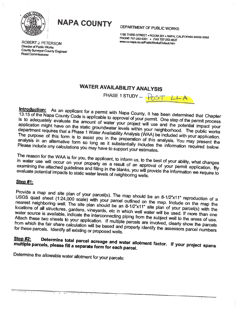

<sup>N</sup>APA COUNTY DEPARTMENT OF PUBLIC WORKS

THIRD STREET • ROOM 201 • NAPA, CALIFORNIA 94559-3092<br>PHONE 707-253-4351 • FAX 707-253-4627<br>www.co.napa.ca.us/PublicWorks/Default.htm

Director of Public Works County Surveyor-County Engineer Road Commissioner

## WATER AVAILABILITY ANALYSIS

PHASE 1 STUDY -  $\sqrt{05T}$  LLA

Introduction: As an applicant for a permit with Napa County, It has been determined that Chapter<br>13.15 of the Napa County Code is applicable to approval of your permit. One step of the permit process is to adequately evaluate the amount of water your project will use and the potential impact your application might have on the static groundwater levels within your neighborhood. The public works department requires that The purpose of this form is to assist you in the preparation of this analysis. You may present the analysis in an alternative form so long as it substantially includes the information required below.<br>Please include any cal

The reason for the WAA is for you, the applicant, to inform us, to the best of your ability, what changes in water use will occur on your property as a result of an approval of your permit application. By examining the attached guidelines and filling in the blanks, you will provide the information we require to evaluate potential impacts to static water levels of neighboring wells

### Step #1:

Provide a map and site plan of your parcel(s). The map should be an 8-1/2"x11" reproduction of<br>USGS quad sheet (1:24,000 scale) with your parcel autlie, J USGS quad sheet (1:24,000 scale) with your parcel outlined on the map. Include on the map the<br>nearest neighboring well. The site plan should be an 8-1/2"x11" site plan of your parcel(s) with the<br>locations of all structures

### multiple parcels, please fill a separate Step #2: Determine please total total parcel acreage and water allotment factor. If your project spans<br>fill a separate form for each parcel.

Determine the allowable water allotment for your parcels: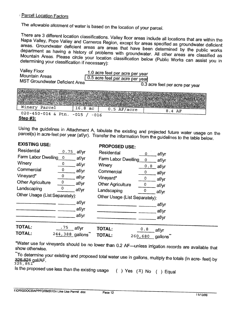### **Parcel Location Factors**

The allowable allotment of water is based on the location of your parcel.

There are 3 different location classifications. Valley floor areas include all locations that are within the Napa Valley, Pope Valley wapa valley, Pope Valley and Carneros Region, except for areas specified as groundwater deficient<br>areas. Groundwater deficient areas are areas that have to the specified as groundwater deficient department as having a history of problems with groundwater. All other areas are classified as areas. Groundwater deficient areas are areas that have been determined by the public works Mountain Areas. Please circle your location classification below (Public Works can assist you in<br>determining your classification if necessary): determining your classification if necessary):

| <b>Valley Floor</b><br><b>Mountain Areas</b><br>MST Groundwater Deficient Area |                                         | 1.0 acre feet per acre per year<br>0.5 acre feet per acre per year | $0.\overline{3}$ acre feet per acre per year                                               |  |
|--------------------------------------------------------------------------------|-----------------------------------------|--------------------------------------------------------------------|--------------------------------------------------------------------------------------------|--|
| Number(s)<br>Winery Parcel                                                     | <b>ANNI SIZOL</b><br><b>AWAI Factor</b> |                                                                    | MASSessors and Parcell Parcel and Parcell Parcel and Coation Park Iowable Water Alloune in |  |
| $020 - 450 - 014$ & Ptn.<br>Step $#3$ :                                        | 16.8ac<br>$-015$<br>$-016$              | $0.5$ AF/acre                                                      | 8.4 AF                                                                                     |  |

parcel(s) in acre-feet per year (af/yr). Transfer the information from the guidelines to the table below. Using the in guidelines in Attachment A, tabulate the existing and projected future water usage on the<br>acre-feet per year (af/yr). Transfer the information from the quidelines to the table halaw.

### EXISTING USE:

### PROPOSED USE:

| Residential                    | $0.75$ af/yr    | Residential                       | 0                              |                |
|--------------------------------|-----------------|-----------------------------------|--------------------------------|----------------|
| Farm Labor Dwelling 0          |                 | af/yr<br>Farm Labor Dwelling      | 0                              | af/yr          |
| Winery                         | 0               | af/yr<br>Winery                   | 0.8                            | af/yr          |
| Commercial                     | 0               | af/yr<br>Commercial               | 0                              | af/yr<br>af/yr |
| Vineyard*                      | 0               | af/yr<br>Vineyard*                | 0                              | af/yr          |
| <b>Other Agriculture</b>       | 0               | af/yr<br><b>Other Agriculture</b> |                                | af/yr          |
| Landscaping                    | 0               | af/yr<br>Landscaping              | 0                              | af/yr          |
| Other Usage (List Separately): |                 |                                   | Other Usage (List Separately): |                |
|                                |                 | af/yr                             |                                | af/yr          |
|                                |                 | af/yr                             |                                | af/yr          |
|                                |                 | af/yr                             |                                | af/yr          |
| <b>TOTAL:</b>                  |                 |                                   |                                |                |
|                                | .75<br>af/vr    | TOTAL:                            | 0.8                            | af/vr          |
| TOTAL:                         | 244,388 gallons | TOTAL:                            | 260,680                        | gallons        |

show \*Water otherwise. use for vineyards should be no lower than 0.2 AF—unless irrigation records are available that \*\*To

<del>325.82</del>1 determine your existing and proposed total water use in gallons, multiply the totals (in acre- feet) by<br>8<del>21</del> gal/AF. <del>325,821</del> gal/AF.<br><sup>325, 851</sup>

Is the proposed use less than the existing usage  $( )$  Yes  $(X)$  No  $( )$  Equal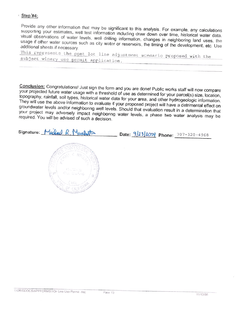### **Step #4:**

Provide any other information that may be significant to this analysis. For example, any calculations supporting your estimates, well test information including draw down over time, historical water data, visual observations of water levels, well drilling information, changes in neighboring land uses, the usage if other water sources such as city water or reservoirs, the timing of the development, etc. Use additional sheets if necessary.

This represents the post lot line adjustment scenario proposed with the subject winery use permit application.

Conclusion: Congratulations! Just sign the form and you are done! Public works staff will now compare your projected future water usage with a threshold of use as determined for your parcel(s) size, location, topography, rainfall, soil types, historical water data for your area, and other hydrogeologic information. They will use the above information to evaluate if your proposed project will have a detrimental effect on groundwater levels and/or neighboring well levels. Should that evaluation result in a determination that your project may adversely impact neighboring water levels, a phase two water analysis may be required. You will be advised of such a decision.

Signature: Michael R. Muchatta



Date: 9/23/2009 Phone: 707-320-4968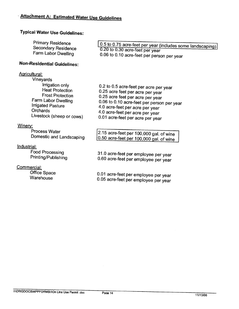## Typical Water Use Guidelines:

| <b>Primary Residence</b><br><b>Secondary Residence</b><br>Farm Labor Dwelling<br><b>Non-Residential Guidelines:</b>                                                                                          | 0.5 to 0.75 acre-feet per year (includes some landscaping)<br>0.20 to 0.30 acre-feet per year<br>0.06 to 0.10 acre-feet per person per year                                                                                                                            |
|--------------------------------------------------------------------------------------------------------------------------------------------------------------------------------------------------------------|------------------------------------------------------------------------------------------------------------------------------------------------------------------------------------------------------------------------------------------------------------------------|
| <b>Agricultural:</b><br><b>Vineyards</b><br>Irrigation only<br><b>Heat Protection</b><br><b>Frost Protection</b><br>Farm Labor Dwelling<br>Irrigated Pasture<br><b>Orchards</b><br>Livestock (sheep or cows) | 0.2 to 0.5 acre-feet per acre per year<br>0.25 acre feet per acre per year<br>0.25 acre feet per acre per year<br>0.06 to 0.10 acre-feet per person per year<br>4.0 acre-feet per acre per year<br>4.0 acre-feet per acre per year<br>0.01 acre-feet per acre per year |
| Winery:<br>Process Water<br>Domestic and Landscaping<br><u>Industrial:</u><br><b>Food Processing</b><br>Printing/Publishing                                                                                  | 2.15 acre-feet per 100,000 gal. of wine<br>0.50 acre-feet per 100,000 gal. of wine<br>31.0 acre-feet per employee per year<br>0.60 acre-feet per employee per year                                                                                                     |
| Commercial:                                                                                                                                                                                                  |                                                                                                                                                                                                                                                                        |

Office Space

Warehouse

0.01 acre-feet per employee per year 0.05 acre-feet per employee per year